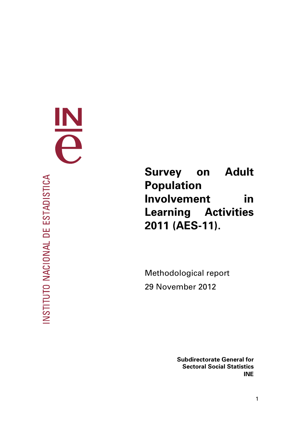INSTITUTO NACIONAL DE ESTADISTICA

<span id="page-0-0"></span>E

# **Survey on Adult Population Involvement in Learning Activities 2011 (AES-11).**

Methodological report 29 November 2012

> **Subdirectorate General for Sectoral Social Statistics INE**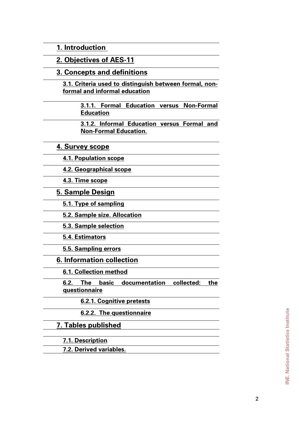**[1. Introduction](#page-3-0)** 

**[2. Objectives of AES-11](#page-4-0)**

**[3. Concepts and definitions](#page-5-0)**

**[3.1. Criteria used to distinguish between formal, non](#page-7-0)[formal and informal education](#page-7-0)**

> **[3.1.1. Formal Education versus Non-Formal](#page-7-0)  [Education](#page-7-0)**

> **[3.1.2. Informal Education versus Formal and](#page-8-0)  [Non-Formal Education](#page-8-0)**.

**[4. Survey scope](#page-10-0)**

**[4.1. Population scope](#page-10-0)**

**[4.2. Geographical scope](#page-10-0)**

**[4.3. Time scope](#page-10-0)**

**[5. Sample Design](#page-10-0)**

**[5.1. Type of sampling](#page-10-0)**

**[5.2. Sample size. Allocation](#page-11-0)**

**[5.3. Sample selection](#page-12-0)**

**[5.4. Estimators](#page-12-0)**

**[5.5. Sampling errors](#page-14-0)**

**[6. Information collection](#page-15-0)**

**[6.1. Collection method](#page-15-0)**

**[6.2. The basic documentation collected: the](#page-15-0)  [questionnaire](#page-15-0)**

**[6.2.1. Cognitive pretests](#page-15-0)**

**[6.2.2. The questionnaire](#page-18-0)**

**[7. Tables published](#page-20-0)**

**[7.1. Description](#page-20-0)**

**[7.2. Derived variables.](#page-21-0)**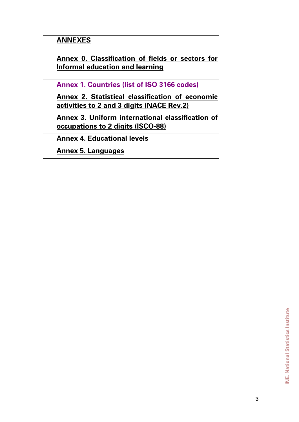# **[ANNEXES](#page-0-0)**

**[Annex 0. Classification of fields or sectors for](#page-25-0)  [Informal education and learning](#page-25-0)**

**Annex 1. Countries (list of ISO 3166 codes)**

**[Annex 2. Statistical classification of economic](#page-35-0)  [activities to 2 and 3 digits \(NACE Rev.2\)](#page-35-0)**

**[Annex 3. Uniform international classification of](#page-39-0)  [occupations to 2 digits \(ISCO-88\)](#page-39-0)**

**[Annex 4. Educational levels](#page-43-0)**

**[Annex 5. Languages](#page-45-0)**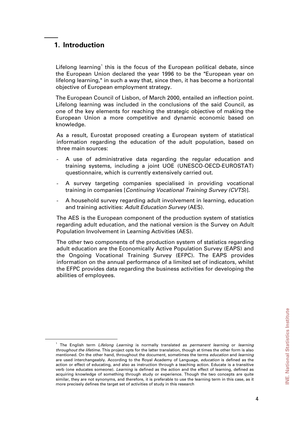# <span id="page-3-0"></span>**1. Introduction**

Lifelong learning<sup>[1](#page-3-1)</sup> this is the focus of the European political debate, since the European Union declared the year 1996 to be the "European year on lifelong learning," in such a way that, since then, it has become a horizontal objective of European employment strategy.

The European Council of Lisbon, of March 2000, entailed an inflection point. Lifelong learning was included in the conclusions of the said Council, as one of the key elements for reaching the strategic objective of making the European Union a more competitive and dynamic economic based on knowledge.

As a result, Eurostat proposed creating a European system of statistical information regarding the education of the adult population, based on three main sources:

- A use of administrative data regarding the regular education and training systems, including a joint UOE (UNESCO-OECD-EUROSTAT) questionnaire, which is currently extensively carried out.
- A survey targeting companies specialised in providing vocational training in companies [*Continuing Vocational Training Survey (CVTS*)].
- A household survey regarding adult involvement in learning, education and training activities: *Adult Education Survey* (AES).

The AES is the European component of the production system of statistics regarding adult education, and the national version is the Survey on Adult Population Involvement in Learning Activities (AES).

The other two components of the production system of statistics regarding adult education are the Economically Active Population Survey (EAPS) and the Ongoing Vocational Training Survey (EFPC). The EAPS provides information on the annual performance of a limited set of indicators, whilst the EFPC provides data regarding the business activities for developing the abilities of employees.

<span id="page-3-1"></span> $\overline{\phantom{a}}$ The English term *Lifelong Learning* is normally translated as *permanent learning* or *learning throughout the lifetime*. This project opts for the latter translation, though at times the other form is also mentioned. On the other hand, throughout the document, sometimes the terms *education* and *learning* are used interchangeably. According to the Royal Academy of Language, *education* is defined as the action or effect of educating, and also as instruction through a teaching action. Educate is a transitive verb (one educates someone). *Learning* is defined as the action and the effect of learning, defined as acquiring knowledge of something through study or experience. Though the two concepts are quite similar, they are not synonyms, and therefore, it is preferable to use the learning term in this case, as it more precisely defines the target set of activities of study in this research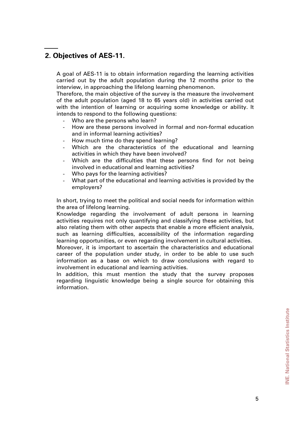# <span id="page-4-0"></span>**2. Objectives of AES-11.**

A goal of AES-11 is to obtain information regarding the learning activities carried out by the adult population during the 12 months prior to the interview, in approaching the lifelong learning phenomenon.

Therefore, the main objective of the survey is the measure the involvement of the adult population (aged 18 to 65 years old) in activities carried out with the intention of learning or acquiring some knowledge or ability. It intends to respond to the following questions:

- Who are the persons who learn?
- How are these persons involved in formal and non-formal education and in informal learning activities?
- How much time do they spend learning?
- Which are the characteristics of the educational and learning activities in which they have been involved?
- Which are the difficulties that these persons find for not being involved in educational and learning activities?
- Who pays for the learning activities?
- What part of the educational and learning activities is provided by the employers?

In short, trying to meet the political and social needs for information within the area of lifelong learning.

Knowledge regarding the involvement of adult persons in learning activities requires not only quantifying and classifying these activities, but also relating them with other aspects that enable a more efficient analysis, such as learning difficulties, accessibility of the information regarding learning opportunities, or even regarding involvement in cultural activities.

Moreover, it is important to ascertain the characteristics and educational career of the population under study, in order to be able to use such information as a base on which to draw conclusions with regard to involvement in educational and learning activities.

In addition, this must mention the study that the survey proposes regarding linguistic knowledge being a single source for obtaining this information.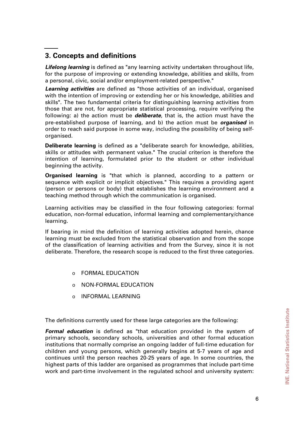# <span id="page-5-0"></span>**3. Concepts and definitions**

*Lifelong learning* is defined as "any learning activity undertaken throughout life, for the purpose of improving or extending knowledge, abilities and skills, from a personal, civic, social and/or employment-related perspective."

*Learning activities* are defined as "those activities of an individual, organised with the intention of improving or extending her or his knowledge, abilities and skills". The two fundamental criteria for distinguishing learning activities from those that are not, for appropriate statistical processing, require verifying the following: a) the action must be *deliberate*, that is, the action must have the pre-established purpose of learning, and b) the action must be *organised* in order to reach said purpose in some way, including the possibility of being selforganised.

**Deliberate learning** is defined as a "deliberate search for knowledge, abilities, skills or attitudes with permanent value." The crucial criterion is therefore the intention of learning, formulated prior to the student or other individual beginning the activity.

**Organised learning** is "that which is planned, according to a pattern or sequence with explicit or implicit objectives." This requires a providing agent (person or persons or body) that establishes the learning environment and a teaching method through which the communication is organised.

Learning activities may be classified in the four following categories: formal education, non-formal education, informal learning and complementary/chance learning.

If bearing in mind the definition of learning activities adopted herein, chance learning must be excluded from the statistical observation and from the scope of the classification of learning activities and from the Survey, since it is not deliberate. Therefore, the research scope is reduced to the first three categories.

- o FORMAL EDUCATION
- o NON-FORMAL EDUCATION
- o INFORMAL LEARNING

The definitions currently used for these large categories are the following:

*Formal education* is defined as "that education provided in the system of primary schools, secondary schools, universities and other formal education institutions that normally comprise an ongoing ladder of full-time education for children and young persons, which generally begins at 5-7 years of age and continues until the person reaches 20-25 years of age. In some countries, the highest parts of this ladder are organised as programmes that include part-time work and part-time involvement in the regulated school and university system: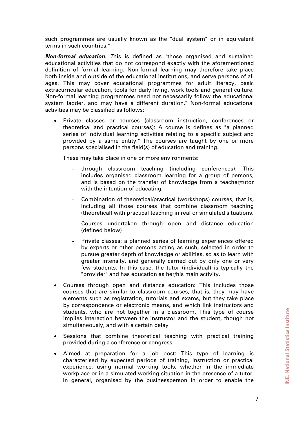such programmes are usually known as the "dual system" or in equivalent terms in such countries."

*Non-formal education. T*his is defined as "those organised and sustained educational activities that do not correspond exactly with the aforementioned definition of formal learning. Non-formal learning may therefore take place both inside and outside of the educational institutions, and serve persons of all ages. This may cover educational programmes for adult literacy, basic extracurricular education, tools for daily living, work tools and general culture. Non-formal learning programmes need not necessarily follow the educational system ladder, and may have a different duration." Non-formal educational activities may be classified as follows:

• Private classes or courses (classroom instruction, conferences or theoretical and practical courses): A course is defines as "a planned series of individual learning activities relating to a specific subject and provided by a same entity." The courses are taught by one or more persons specialised in the field(s) of education and training.

These may take place in one or more environments:

- through classroom teaching (including conferences): This includes organised classroom learning for a group of persons, and is based on the transfer of knowledge from a teacher/tutor with the intention of educating.
- Combination of theoretical/practical (workshops) courses, that is, including all those courses that combine classroom teaching (theoretical) with practical teaching in real or simulated situations.
- Courses undertaken through open and distance education (defined below)
- Private classes: a planned series of learning experiences offered by experts or other persons acting as such, selected in order to pursue greater depth of knowledge or abilities, so as to learn with greater intensity, and generally carried out by only one or very few students. In this case, the tutor (individual) is typically the "provider" and has education as her/his main activity.
- Courses through open and distance education: This includes those courses that are similar to classroom courses, that is, they may have elements such as registration, tutorials and exams, but they take place by correspondence or electronic means, and which link instructors and students, who are not together in a classroom. This type of course implies interaction between the instructor and the student, though not simultaneously, and with a certain delay
- Sessions that combine theoretical teaching with practical training provided during a conference or congress
- Aimed at preparation for a job post: This type of learning is characterised by expected periods of training, instruction or practical experience, using normal working tools, whether in the immediate workplace or in a simulated working situation in the presence of a tutor. In general, organised by the businessperson in order to enable the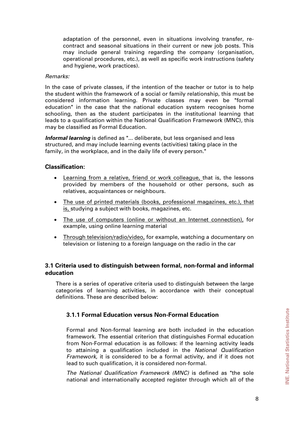<span id="page-7-0"></span>adaptation of the personnel, even in situations involving transfer, recontract and seasonal situations in their current or new job posts. This may include general training regarding the company (organisation, operational procedures, etc.), as well as specific work instructions (safety and hygiene, work practices).

#### *Remarks:*

In the case of private classes, if the intention of the teacher or tutor is to help the student within the framework of a social or family relationship, this must be considered information learning. Private classes may even be "formal education" in the case that the national education system recognises home schooling, then as the student participates in the institutional learning that leads to a qualification within the National Qualification Framework (MNC), this may be classified as Formal Education.

*Informal learning* is defined as "... deliberate, but less organised and less structured, and may include learning events (activities) taking place in the family, in the workplace, and in the daily life of every person."

### **Classification:**

- Learning from a relative, friend or work colleague, that is, the lessons provided by members of the household or other persons, such as relatives, acquaintances or neighbours.
- The use of printed materials (books, professional magazines, etc.), that is, studying a subject with books, magazines, etc.
- The use of computers (online or without an Internet connection), for example, using online learning material
- Through television/radio/video, for example, watching a documentary on television or listening to a foreign language on the radio in the car

### **3.1 Criteria used to distinguish between formal, non-formal and informal education**

There is a series of operative criteria used to distinguish between the large categories of learning activities, in accordance with their conceptual definitions. These are described below:

# **3.1.1 Formal Education versus Non-Formal Education**

Formal and Non-formal learning are both included in the education framework. The essential criterion that distinguishes Formal education from Non-Formal education is as follows: if the learning activity leads to attaining a qualification included in the *National Qualification Framework*, it is considered to be a formal activity, and if it does not lead to such qualification, it is considered non-formal.

*The National Qualification Framework (MNC)* is defined as "the sole national and internationally accepted register through which all of the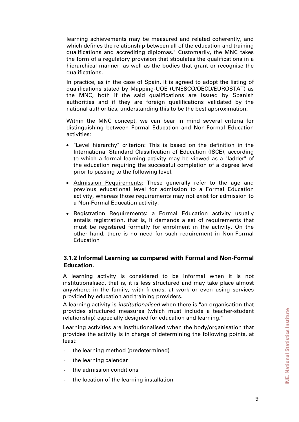<span id="page-8-0"></span>learning achievements may be measured and related coherently, and which defines the relationship between all of the education and training qualifications and accrediting diplomas." Customarily, the MNC takes the form of a regulatory provision that stipulates the qualifications in a hierarchical manner, as well as the bodies that grant or recognise the qualifications.

In practice, as in the case of Spain, it is agreed to adopt the listing of qualifications stated by Mapping-UOE (UNESCO/OECD/EUROSTAT) as the MNC, both if the said qualifications are issued by Spanish authorities and if they are foreign qualifications validated by the national authorities, understanding this to be the best approximation.

Within the MNC concept, we can bear in mind several criteria for distinguishing between Formal Education and Non-Formal Education activities:

- "Level hierarchy" criterion: This is based on the definition in the International Standard Classification of Education (ISCE), according to which a formal learning activity may be viewed as a "ladder" of the education requiring the successful completion of a degree level prior to passing to the following level.
- Admission Requirements: These generally refer to the age and previous educational level for admission to a Formal Education activity, whereas those requirements may not exist for admission to a Non-Formal Education activity.
- Registration Requirements: a Formal Education activity usually entails registration, that is, it demands a set of requirements that must be registered formally for enrolment in the activity. On the other hand, there is no need for such requirement in Non-Formal Education

### **3.1.2 Informal Learning as compared with Formal and Non-Formal Education.**

A learning activity is considered to be informal when it is not institutionalised, that is, it is less structured and may take place almost anywhere: in the family, with friends, at work or even using services provided by education and training providers.

A learning activity is *institutionalised* when there is "an organisation that provides structured measures (which must include a teacher-student relationship) especially designed for education and learning."

Learning activities are institutionalised when the body/organisation that provides the activity is in charge of determining the following points, at least:

- the learning method (predetermined)
- the learning calendar
- the admission conditions
- the location of the learning installation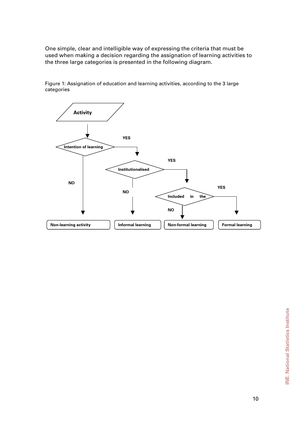One simple, clear and intelligible way of expressing the criteria that must be used when making a decision regarding the assignation of learning activities to the three large categories is presented in the following diagram.

**Activity YES YES Institutionalised Intention of learning NO NO NO YES Included in the Non-learning activity The Informal learning Theorem I learning Theorem I learning Theorem I learning** 

Figure 1: Assignation of education and learning activities, according to the 3 large categories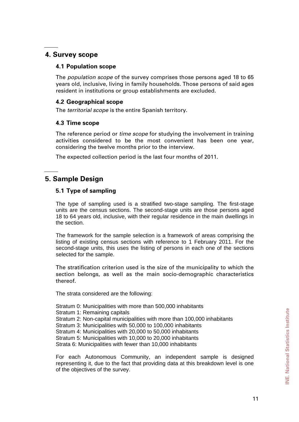# <span id="page-10-0"></span>**4. Survey scope**

#### **4.1 Population scope**

The *population scope* of the survey comprises those persons aged 18 to 65 years old, inclusive, living in family households. Those persons of said ages resident in institutions or group establishments are excluded.

### **4.2 Geographical scope**

The *territorial scope* is the entire Spanish territory.

### **4.3 Time scope**

The reference period or *time scope* for studying the involvement in training activities considered to be the most convenient has been one year, considering the twelve months prior to the interview.

The expected collection period is the last four months of 2011.

# **5. Sample Design**

### **5.1 Type of sampling**

The type of sampling used is a stratified two-stage sampling. The first-stage units are the census sections. The second-stage units are those persons aged 18 to 64 years old, inclusive, with their regular residence in the main dwellings in the section.

The framework for the sample selection is a framework of areas comprising the listing of existing census sections with reference to 1 February 2011. For the second-stage units, this uses the listing of persons in each one of the sections selected for the sample.

The stratification criterion used is the size of the municipality to which the section belongs, as well as the main socio-demographic characteristics thereof.

The strata considered are the following:

Stratum 0: Municipalities with more than 500,000 inhabitants Stratum 1: Remaining capitals Stratum 2: Non-capital municipalities with more than 100,000 inhabitants Stratum 3: Municipalities with 50,000 to 100,000 inhabitants Stratum 4: Municipalities with 20,000 to 50,000 inhabitants Stratum 5: Municipalities with 10,000 to 20,000 inhabitants Strata 6: Municipalities with fewer than 10,000 inhabitants

For each Autonomous Community, an independent sample is designed representing it, due to the fact that providing data at this breakdown level is one of the objectives of the survey.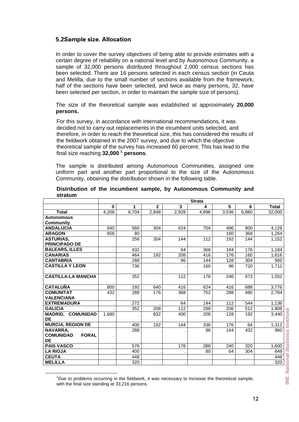### <span id="page-11-0"></span>**5.2Sample size. Allocation**

In order to cover the survey objectives of being able to provide estimates with a certain degree of reliability on a national level and by Autonomous Community, a sample of 32,000 persons distributed throughout 2,000 census sections has been selected. There are 16 persons selected in each census section (in Ceuta and Melilla, due to the small number of sections available from the framework, half of the sections have been selected, and twice as many persons, 32, have been selected per section, in order to maintain the sample size of persons).

The size of the theoretical sample was established at approximately **20,000 persons.** 

For this survey, in accordance with international recommendations, it was decided not to carry out replacements in the incumbent units selected, and therefore, in order to reach the theoretical size, this has considered the results of the fieldwork obtained in the 2007 survey, and due to which the objective theoretical sample of the survey has increased 60 percent. This has lead to the final size reaching **32,000 [1](#page-11-1) persons**.

The sample is distributed among Autonomous Communities, assigned one uniform part and another part proportional to the size of the Autonomous Community, obtaining the distribution shown in the following table.

|                                  | <b>Strata</b> |       |                |       |       |       |       |              |
|----------------------------------|---------------|-------|----------------|-------|-------|-------|-------|--------------|
|                                  | 0             |       | $\overline{2}$ | 3     | 4     | 5     | 6     | <b>Total</b> |
| <b>Total</b>                     | 4,208         | 6,704 | 2,848          | 2,928 | 4,896 | 3,536 | 6,880 | 32,000       |
| <b>Autonomous</b>                |               |       |                |       |       |       |       |              |
| <b>Community</b>                 |               |       |                |       |       |       |       |              |
| <b>ANDALUCIA</b>                 | 640           | 560   | 304            | 624   | 704   | 496   | 800   | 4,128        |
| <b>ARAGON</b>                    | 656           | 80    |                |       |       | 160   | 368   | 1,264        |
| <b>ASTURIAS,</b>                 |               | 256   | 304            | 144   | 112   | 192   | 144   | 1,152        |
| <b>PRINCIPADO DE</b>             |               |       |                |       |       |       |       |              |
| <b>BALEARS, ILLES</b>            |               | 432   |                | 64    | 368   | 144   | 176   | 1,184        |
| <b>CANARIAS</b>                  |               | 464   | 192            | 208   | 416   | 176   | 160   | 1,616        |
| <b>CANTABRIA</b>                 |               | 288   |                | 96    | 144   | 128   | 304   | 960          |
| <b>CASTILLA Y LEON</b>           |               | 736   |                |       | 160   | 96    | 720   | 1,712        |
|                                  |               |       |                |       |       |       |       |              |
| <b>CASTILLA-LA MANCHA</b>        |               | 352   |                | 112   | 176   | 240   | 672   | 1,552        |
|                                  |               |       |                |       |       |       |       |              |
| <b>CATALUÑA</b>                  | 800           | 192   | 640            | 416   | 624   | 416   | 688   | 3,776        |
| <b>COMUNITAT</b>                 | 432           | 288   | 176            | 368   | 752   | 288   | 480   | 2,784        |
| <b>VALENCIANA</b>                |               |       |                |       |       |       |       |              |
| <b>EXTREMADURA</b>               |               | 272   |                | 64    | 144   | 112   | 544   | 1,136        |
| <b>GALICIA</b>                   |               | 352   | 208            | 112   | 288   | 336   | 512   | 1,808        |
| <b>MADRID, COMUNIDAD</b>         | 1,680         |       | 832            | 400   | 208   | 128   | 192   | 3,440        |
| <b>DE</b>                        |               |       |                |       |       |       |       |              |
| <b>MURCIA, REGION DE</b>         |               | 400   | 192            | 144   | 336   | 176   | 64    | 1,312        |
| NAVARRA.                         |               | 288   |                |       | 96    | 144   | 432   | 960          |
| <b>COMUNIDAD</b><br><b>FORAL</b> |               |       |                |       |       |       |       |              |
| <b>DE</b>                        |               |       |                |       |       |       |       |              |
| <b>PAIS VASCO</b>                |               | 576   |                | 176   | 288   | 240   | 320   | 1,600        |
| <b>LA RIOJA</b>                  |               | 400   |                |       | 80    | 64    | 304   | 848          |
| <b>CEUTA</b>                     |               | 448   |                |       |       |       |       | 448          |
| <b>MELILLA</b>                   |               | 320   |                |       |       |       |       | 320          |

#### **Distribution of the incumbent sample, by Autonomous Community and stratum**

<span id="page-11-1"></span> $\overline{\phantom{0}}$  $1$ Due to problems occurring in the fieldwork, it was necessary to increase the theoretical sample, with the final size standing at 33,216 persons.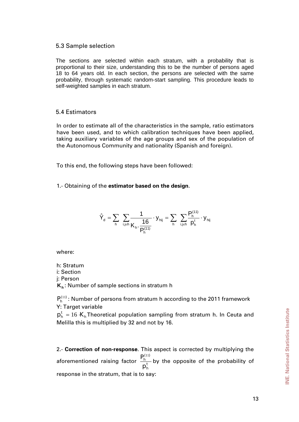#### <span id="page-12-0"></span>5.3 Sample selection

The sections are selected within each stratum, with a probability that is proportional to their size, understanding this to be the number of persons aged 18 to 64 years old. In each section, the persons are selected with the same probability, through systematic random-start sampling. This procedure leads to self-weighted samples in each stratum.

### 5.4 Estimators

In order to estimate all of the characteristics in the sample, ratio estimators have been used, and to which calibration techniques have been applied, taking auxiliary variables of the age groups and sex of the population of the Autonomous Community and nationality (Spanish and foreign).

To this end, the following steps have been followed:

#### 1.- Obtaining of the **estimator based on the design**.

$$
\hat{Y}_{d} = \sum_{h} \sum_{i,j \in h} \frac{1}{K_{h} \cdot \frac{16}{P_{h}^{(11)}}} \cdot y_{hij} = \sum_{h} \sum_{i,j \in h} \frac{P_{h}^{(11)}}{p_{h}^{t}} \cdot y_{hij}
$$

where:

h: Stratum i: Section j: Person **Kh** : Number of sample sections in stratum h

 $P_h^{(11)}$ : Number of persons from stratum h according to the 2011 framework Y: Target variable

h  $p_h^t = 16 \cdot K_h$ Theoretical population sampling from stratum h. In Ceuta and Melilla this is multiplied by 32 and not by 16.

2.- **Correction of non-response**. This aspect is corrected by multiplying the aforementioned raising factor  $\frac{r}{n}$ h  $(11)$ h p  $P_h^{(11)}$ by the opposite of the probability of response in the stratum, that is to say: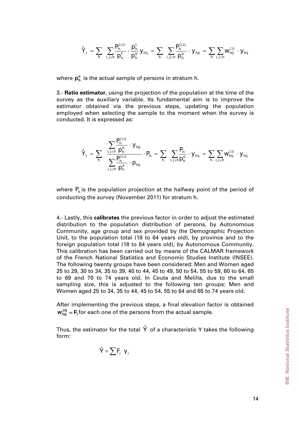$$
\hat{Y}_{2}\,=\,\sum_{h}\,\;\sum_{i,\,j\in h}\frac{P^{(11)}_{h}}{p^{t}_{h}}\cdot\frac{p^{t}_{h}}{p^{e}_{h}}\,y_{hij}\,=\,\sum_{h}\,\;\sum_{i,\,j\in h}\frac{P^{(11)}_{h}}{p^{e}_{h}}\cdot\,y_{hij}\,=\,\sum_{h}\sum_{i,\,j\in h}w^{(2)}_{hij}\,\cdot\,y_{hij}
$$

where  $p_h^e$  is the actual sample of persons in stratum h.

3.- **Ratio estimator**, using the projection of the population at the time of the survey as the auxiliary variable. Its fundamental aim is to improve the estimator obtained via the previous steps, updating the population employed when selecting the sample to the moment when the survey is conducted. It is expressed as:

$$
\hat{Y}_{_3} = \sum_{h} \quad \frac{\displaystyle\sum_{i,j \in h} \frac{P^{(11)}_h}{p^{_e}_h} \cdot y_{hij}}{\displaystyle\sum_{i,j \in h} \frac{P^{(11)}_h}{p^{_h}_h} \cdot p_{hij}} \cdot P_{_h} = \sum_{h} \ \sum_{i,j \in h} \frac{P_{_h}}{p^{_e}_h} \cdot y_{hij} = \sum_{h} \sum_{i,j \in h} w^{(3)}_{hij} \cdot y_{hij}
$$

where  $P_h$  is the population projection at the halfway point of the period of conducting the survey (November 2011) for stratum h.

4.- Lastly, this **calibrates** the previous factor in order to adjust the estimated distribution to the population distribution of persons, by Autonomous Community, age group and sex provided by the Demographic Projection Unit, to the population total (18 to 64 years old), by province and to the foreign population total (18 to 64 years old), by Autonomous Community. This calibration has been carried out by means of the CALMAR framework of the French National Statistics and Economic Studies Institute (INSEE). The following twenty groups have been considered: Men and Women aged 25 to 29, 30 to 34, 35 to 39, 40 to 44, 45 to 49, 50 to 54, 55 to 59, 60 to 64, 65 to 69 and 70 to 74 years old. In Ceuta and Melilla, due to the small sampling size, this is adjusted to the following ten groups: Men and Women aged 25 to 34, 35 to 44, 45 to 54, 55 to 64 and 65 to 74 years old.

After implementing the previous steps, a final elevation factor is obtained  $w_{\text{hij}}^{(4)} = F_i$  for each one of the persons from the actual sample.

Thus, the estimator for the total  $\hat{Y}$  of a characteristic Y takes the following form:

$$
\hat{Y} = \sum F_i \, y_i
$$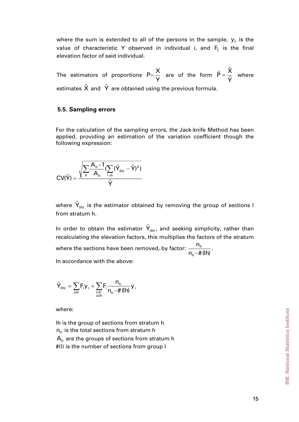<span id="page-14-0"></span>where the sum is extended to all of the persons in the sample,  $y_i$  is the value of characteristic Y observed in individual i, and  $F_i$  is the final elevation factor of said individual.

The estimators of proportions  $P = \frac{P}{Y}$  $P=\frac{X}{Y}$  are of the form Yˆ  $\hat{P} = \frac{\hat{X}}{\hat{N}}$  where estimates  $\hat{X}$  and  $\hat{Y}$  are obtained using the previous formula.

#### **5.5. Sampling errors**

For the calculation of the sampling errors, the Jack-knife Method has been applied, providing an estimation of the variation coefficient though the following expression:

$$
CV(\hat{Y}) = \frac{\sqrt{\sum\limits_{h} \frac{A_h-1}{A_h}(\sum\limits_{i \in h}(\hat{Y}_{(lh)} - \hat{Y})^2)}}{\hat{Y}}
$$

where  $\hat{\mathsf{Y}}_\text{\tiny (Ih)}$  is the estimator obtained by removing the group of sections l from stratum h.

In order to obtain the estimator  $\hat{\mathsf{Y}}_\text{\tiny (\mathsf{In)} }$ , and seeking simplicity, rather than recalculating the elevation factors, this multiplies the factors of the stratum where the sections have been removed, by factor:  $n_h - \# (lh)$ n h  $\frac{n_h}{-H(\ln)}$ .

In accordance with the above:

$$
\hat{\boldsymbol{Y}}_{\text{(lh)}}\,=\,\sum_{i\neq h}F_{i}\boldsymbol{y}_{i}\,+\,\sum_{\underset{i\neq lh}{i\neq h}}F_{i}\frac{n_{h}}{n_{h}\textcolor{blue}{-\textcolor{blue}{\#}\,(\textcolor{blue}{\boldsymbol{lh}})}}\,\boldsymbol{y}_{i}
$$

where:

lh is the group of sections from stratum h  $n_h$  is the total sections from stratum h  $A_h$  are the groups of sections from stratum h #(l) is the number of sections from group l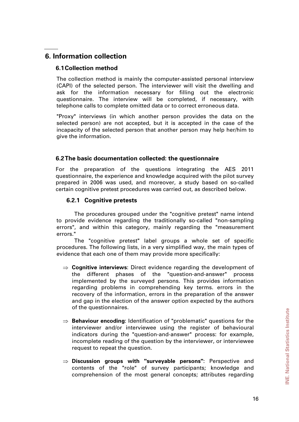# <span id="page-15-0"></span>**6. Information collection**

### **6.1 Collection method**

The collection method is mainly the computer-assisted personal interview (CAPI) of the selected person. The interviewer will visit the dwelling and ask for the information necessary for filling out the electronic questionnaire. The interview will be completed, if necessary, with telephone calls to complete omitted data or to correct erroneous data.

"Proxy" interviews (in which another person provides the data on the selected person) are not accepted, but it is accepted in the case of the incapacity of the selected person that another person may help her/him to give the information.

### **6.2 The basic documentation collected: the questionnaire**

For the preparation of the questions integrating the AES 2011 questionnaire, the experience and knowledge acquired with the pilot survey prepared in 2006 was used, and moreover, a study based on so-called certain cognitive pretest procedures was carried out, as described below.

### **6.2.1 Cognitive pretests**

The procedures grouped under the "cognitive pretest" name intend to provide evidence regarding the traditionally so-called "non-sampling errors", and within this category, mainly regarding the "measurement errors."

The "cognitive pretest" label groups a whole set of specific procedures. The following lists, in a very simplified way, the main types of evidence that each one of them may provide more specifically:

- ⇒ **Cognitive interviews**: Direct evidence regarding the development of the different phases of the "question-and-answer" process implemented by the surveyed persons. This provides information regarding problems in comprehending key terms. errors in the recovery of the information, errors in the preparation of the answer and gap in the election of the answer option expected by the authors of the questionnaires.
- ⇒ **Behaviour encoding**: Identification of "problematic" questions for the interviewer and/or interviewee using the register of behavioural indicators during the "question-and-answer" process: for example, incomplete reading of the question by the interviewer, or interviewee request to repeat the question.
- ⇒ **Discussion groups with "surveyable persons"**: Perspective and contents of the "role" of survey participants; knowledge and comprehension of the most general concepts; attributes regarding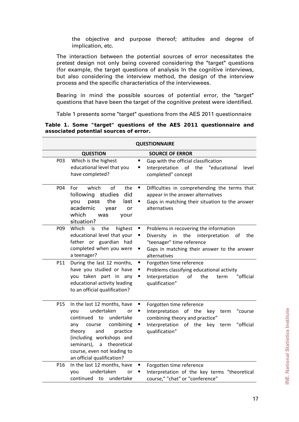the objective and purpose thereof; attitudes and degree of implication, etc.

The interaction between the potential sources of error necessitates the pretest design not only being covered considering the "target" questions (for example, the target questions of analysis In the cognitive interviews, but also considering the interview method, the design of the interview process and the specific characteristics of the interviewees.

Bearing in mind the possible sources of potential error, the "target" questions that have been the target of the cognitive pretest were identified.

Table 1 presents some "target" questions from the AES 2011 questionnaire

**Table 1. Some "target" questions of the AES 2011 questionnaire and associated potential sources of error.** 

|            |                                                                                                                                                                                                                                                                        | <b>QUESTIONNAIRE</b>                                                                                                                                                                                       |
|------------|------------------------------------------------------------------------------------------------------------------------------------------------------------------------------------------------------------------------------------------------------------------------|------------------------------------------------------------------------------------------------------------------------------------------------------------------------------------------------------------|
|            | <b>QUESTION</b>                                                                                                                                                                                                                                                        | <b>SOURCE OF ERROR</b>                                                                                                                                                                                     |
| P03        | Which is the highest<br>educational level that you<br>have completed?                                                                                                                                                                                                  | Gap with the official classification<br>п<br>Interpretation of the "educational<br>level<br>٠<br>completed" concept                                                                                        |
| <b>P04</b> | which<br>of<br>the<br>For<br>following<br>studies<br>did<br>the<br>last<br>you<br>pass<br>academic<br>or<br>year<br>which<br>was<br>your<br>situation?                                                                                                                 | П<br>Difficulties in comprehending the terms that<br>appear in the answer alternatives<br>Gaps in matching their situation to the answer<br>alternatives                                                   |
| P09        | Which<br>the<br>highest<br>is<br>educational level that your<br>father or guardian had<br>completed when you were<br>a teenager?                                                                                                                                       | п<br>Problems in recovering the information<br>the<br>interpretation<br>Diversity<br>in<br>п<br>0f<br>the<br>"teenager" time reference<br>Gaps in matching their answer to the answer<br>п<br>alternatives |
| P11        | During the last 12 months,<br>have you studied or have<br>you taken part in any<br>educational activity leading<br>to an official qualification?                                                                                                                       | Ξ<br>Forgotten time reference<br>Problems classifying educational activity<br>П<br>Interpretation<br>of<br>the<br>"official<br>term<br>qualification"                                                      |
| P15        | In the last 12 months, have<br>undertaken<br>you<br>or<br>continued to<br>undertake<br>combining<br>course<br>any<br>theory<br>and<br>practice<br>(including workshops and<br>seminars),<br>a theoretical<br>course, even not leading to<br>an official qualification? | Forgotten time reference<br>п<br>Interpretation<br>of the<br>key<br>"course<br>٠<br>term<br>combining theory and practice"<br>Interpretation of the key<br>"official<br>п<br>term<br>qualification"        |
| P16        | In the last 12 months, have<br>undertaken<br>you<br>or<br>continued<br>undertake<br>to                                                                                                                                                                                 | Forgotten time reference<br>Interpretation of the key terms "theoretical<br>course," "chat" or "conference"                                                                                                |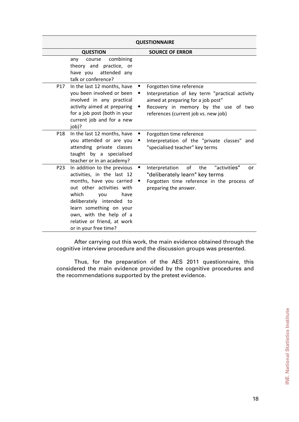|     |                                                                                                                                                                                                                                                                                      | <b>QUESTIONNAIRE</b>                                                                                                                                                                                  |
|-----|--------------------------------------------------------------------------------------------------------------------------------------------------------------------------------------------------------------------------------------------------------------------------------------|-------------------------------------------------------------------------------------------------------------------------------------------------------------------------------------------------------|
|     | <b>QUESTION</b>                                                                                                                                                                                                                                                                      | <b>SOURCE OF ERROR</b>                                                                                                                                                                                |
|     | combining<br>any<br>course<br>theory and practice, or<br>attended any<br>have you<br>talk or conference?                                                                                                                                                                             |                                                                                                                                                                                                       |
| P17 | In the last 12 months, have<br>you been involved or been<br>involved in any practical<br>activity aimed at preparing<br>for a job post (both in your<br>current job and for a new<br>job)?                                                                                           | Forgotten time reference<br>Interpretation of key term "practical activity<br>п<br>aimed at preparing for a job post"<br>Recovery in memory by the use of two<br>references (current job vs. new job) |
| P18 | In the last 12 months, have<br>you attended or are you<br>attending private classes<br>taught by a specialised<br>teacher or in an academy?                                                                                                                                          | Forgotten time reference<br>Interpretation of the "private classes" and<br>"specialised teacher" key terms                                                                                            |
| P23 | In addition to the previous<br>activities, in the last 12<br>months, have you carried<br>out other activities with<br>which<br>you<br>have<br>deliberately intended to<br>learn something on your<br>own, with the help of a<br>relative or friend, at work<br>or in your free time? | of<br>"activities"<br>Interpretation<br>the<br>п<br><b>or</b><br>"deliberately learn" key terms<br>Forgotten time reference in the process of<br>preparing the answer.                                |

After carrying out this work, the main evidence obtained through the cognitive interview procedure and the discussion groups was presented.

Thus, for the preparation of the AES 2011 questionnaire, this considered the main evidence provided by the cognitive procedures and the recommendations supported by the pretest evidence.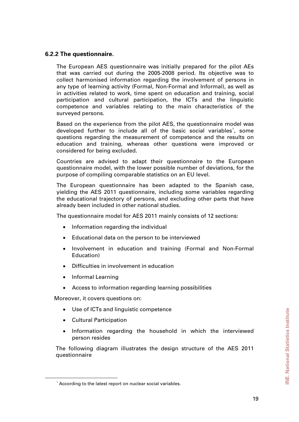### <span id="page-18-0"></span>**6.2.2 The questionnaire.**

The European AES questionnaire was initially prepared for the pilot AEs that was carried out during the 2005-2008 period. Its objective was to collect harmonised information regarding the involvement of persons in any type of learning activity (Formal, Non-Formal and Informal), as well as in activities related to work, time spent on education and training, social participation and cultural participation, the ICTs and the linguistic competence and variables relating to the main characteristics of the surveyed persons.

Based on the experience from the pilot AES, the questionnaire model was developed further to include all of the basic social variables<sup>[1](#page-18-1)</sup>, some questions regarding the measurement of competence and the results on education and training, whereas other questions were improved or considered for being excluded.

Countries are advised to adapt their questionnaire to the European questionnaire model, with the lower possible number of deviations, for the purpose of compiling comparable statistics on an EU level.

The European questionnaire has been adapted to the Spanish case, yielding the AES 2011 questionnaire, including some variables regarding the educational trajectory of persons, and excluding other parts that have already been included in other national studies.

The questionnaire model for AES 2011 mainly consists of 12 sections:

- Information regarding the individual
- Educational data on the person to be interviewed
- Involvement in education and training (Formal and Non-Formal Education)
- Difficulties in involvement in education
- Informal Learning
- Access to information regarding learning possibilities

Moreover, it covers questions on:

- Use of ICTs and linguistic competence
- Cultural Participation
- Information regarding the household in which the interviewed person resides

The following diagram illustrates the design structure of the AES 2011 questionnaire

<span id="page-18-1"></span> $\overline{\phantom{a}}$ <sup>1</sup> According to the latest report on nuclear social variables.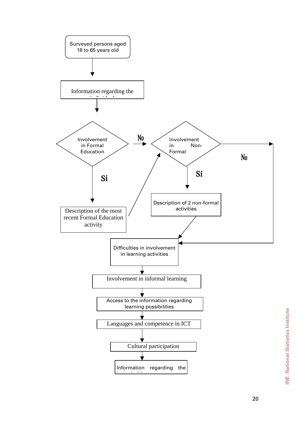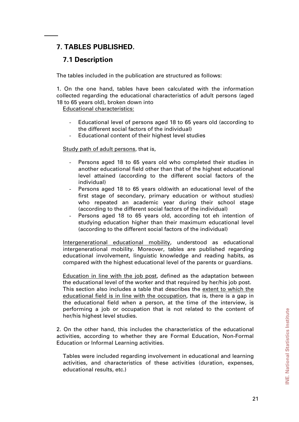# <span id="page-20-0"></span>**7. TABLES PUBLISHED.**

# **7.1 Description**

The tables included in the publication are structured as follows:

1. On the one hand, tables have been calculated with the information collected regarding the educational characteristics of adult persons (aged 18 to 65 years old), broken down into

Educational characteristics:

- Educational level of persons aged 18 to 65 years old (according to the different social factors of the individual)
- Educational content of their highest level studies

Study path of adult persons, that is,

- Persons aged 18 to 65 years old who completed their studies in another educational field other than that of the highest educational level attained (according to the different social factors of the individual)
- Persons aged 18 to 65 years old(with an educational level of the first stage of secondary, primary education or without studies) who repeated an academic year during their school stage (according to the different social factors of the individual)
- Persons aged 18 to 65 years old, according tot eh intention of studying education higher than their maximum educational level (according to the different social factors of the individual)

Intergenerational educational mobility, understood as educational intergenerational mobility. Moreover, tables are published regarding educational involvement, linguistic knowledge and reading habits, as compared with the highest educational level of the parents or guardians.

Education in line with the job post, defined as the adaptation between the educational level of the worker and that required by her/his job post. This section also includes a table that describes the extent to which the educational field is in line with the occupation, that is, there is a gap in the educational field when a person, at the time of the interview, is performing a job or occupation that is not related to the content of her/his highest level studies.

2. On the other hand, this includes the characteristics of the educational activities, according to whether they are Formal Education, Non-Formal Education or Informal Learning activities.

Tables were included regarding involvement in educational and learning activities, and characteristics of these activities (duration, expenses, educational results, etc.)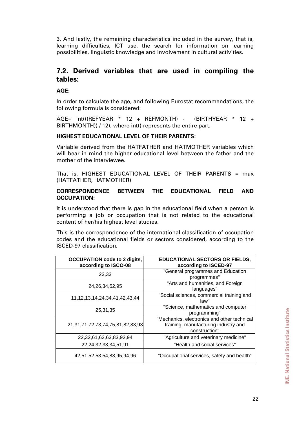<span id="page-21-0"></span>3. And lastly, the remaining characteristics included in the survey, that is, learning difficulties, ICT use, the search for information on learning possibilities, linguistic knowledge and involvement in cultural activities.

# **7.2. Derived variables that are used in compiling the tables:**

**AGE:** 

In order to calculate the age, and following Eurostat recommendations, the following formula is considered:

AGE= int(((REFYEAR \* 12 + REFMONTH) - (BIRTHYEAR \* 12 + BIRTHMONTH)) / 12), where int() represents the entire part.

#### **HIGHEST EDUCATIONAL LEVEL OF THEIR PARENTS:**

Variable derived from the HATFATHER and HATMOTHER variables which will bear in mind the higher educational level between the father and the mother of the interviewee.

That is, HIGHEST EDUCATIONAL LEVEL OF THEIR PARENTS =  $max$ (HATFATHER, HATMOTHER)

#### **CORRESPONDENCE BETWEEN THE EDUCATIONAL FIELD AND OCCUPATION:**

It is understood that there is gap in the educational field when a person is performing a job or occupation that is not related to the educational content of her/his highest level studies.

This is the correspondence of the international classification of occupation codes and the educational fields or sectors considered, according to the ISCED-97 classification.

| <b>OCCUPATION code to 2 digits,</b><br>according to ISCO-08 | <b>EDUCATIONAL SECTORS OR FIELDS,</b><br>according to ISCED-97                                       |
|-------------------------------------------------------------|------------------------------------------------------------------------------------------------------|
| 23,33                                                       | "General programmes and Education<br>programmes"                                                     |
| 24, 26, 34, 52, 95                                          | "Arts and humanities, and Foreign<br>languages"                                                      |
| 11, 12, 13, 14, 24, 34, 41, 42, 43, 44                      | "Social sciences, commercial training and<br>law"                                                    |
| 25,31,35                                                    | "Science, mathematics and computer<br>programming"                                                   |
| 21, 31, 71, 72, 73, 74, 75, 81, 82, 83, 93                  | "Mechanics, electronics and other technical<br>training; manufacturing industry and<br>construction" |
| 22,32,61,62,63,83,92,94                                     | "Agriculture and veterinary medicine"                                                                |
| 22, 24, 32, 33, 34, 51, 91                                  | "Health and social services"                                                                         |
| 42,51,52,53,54,83,95,94,96                                  | "Occupational services, safety and health"                                                           |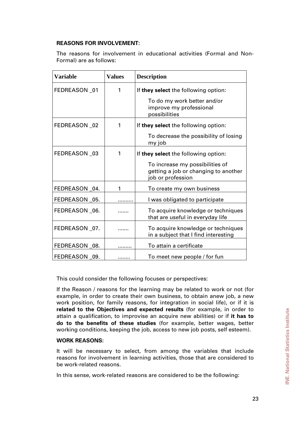#### **REASONS FOR INVOLVEMENT:**

The reasons for involvement in educational activities (Formal and Non-Formal) are as follows:

| <b>Variable</b> | <b>Values</b> | <b>Description</b>                                                                          |
|-----------------|---------------|---------------------------------------------------------------------------------------------|
| FEDREASON 01    | 1             | If they select the following option:                                                        |
|                 |               | To do my work better and/or<br>improve my professional<br>possibilities                     |
| FEDREASON 02    | 1             | If they select the following option:                                                        |
|                 |               | To decrease the possibility of losing<br>my job                                             |
| FEDREASON 03    |               | If they select the following option:                                                        |
|                 |               | To increase my possibilities of<br>getting a job or changing to another<br>ob or profession |
| FEDREASON 04.   | 1             | To create my own business                                                                   |
| FEDREASON _05.  |               | I was obligated to participate                                                              |
| FEDREASON 06.   |               | To acquire knowledge or techniques<br>that are useful in everyday life                      |
| FEDREASON 07.   |               | To acquire knowledge or techniques<br>in a subject that I find interesting                  |
| FEDREASON 08.   |               | To attain a certificate                                                                     |
| FEDREASON 09.   |               | To meet new people / for fun                                                                |

This could consider the following focuses or perspectives:

If the Reason / reasons for the learning may be related to work or not (for example, in order to create their own business, to obtain anew job, a new work position, for family reasons, for integration in social life), or if it is **related to the Objectives and expected results** (for example, in order to attain a qualification, to improvise an acquire new abilities) or if **it has to do to the benefits of these studies** (for example, better wages, better working conditions, keeping the job, access to new job posts, self esteem).

#### **WORK REASONS:**

It will be necessary to select, from among the variables that include reasons for involvement in learning activities, those that are considered to be work-related reasons.

In this sense, work-related reasons are considered to be the following: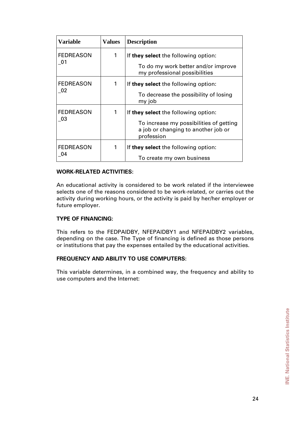| <b>Variable</b>                                | <b>Values</b> | <b>Description</b>                                                                                                                   |
|------------------------------------------------|---------------|--------------------------------------------------------------------------------------------------------------------------------------|
| <b>FEDREASON</b><br>-01                        | 1             | If they select the following option:<br>To do my work better and/or improve<br>my professional possibilities                         |
| <b>FEDREASON</b><br>02                         | 1             | If they select the following option:<br>To decrease the possibility of losing<br>my job                                              |
| <b>FEDREASON</b><br>$\overline{\phantom{0}}03$ |               | If they select the following option:<br>To increase my possibilities of getting<br>a job or changing to another job or<br>profession |
| <b>FEDREASON</b><br>04                         | 1             | If they select the following option:<br>To create my own business                                                                    |

#### **WORK-RELATED ACTIVITIES:**

An educational activity is considered to be work related if the interviewee selects one of the reasons considered to be work-related, or carries out the activity during working hours, or the activity is paid by her/her employer or future employer.

#### **TYPE OF FINANCING:**

This refers to the FEDPAIDBY, NFEPAIDBY1 and NFEPAIDBY2 variables, depending on the case. The Type of financing is defined as those persons or institutions that pay the expenses entailed by the educational activities.

### **FREQUENCY AND ABILITY TO USE COMPUTERS:**

This variable determines, in a combined way, the frequency and ability to use computers and the Internet: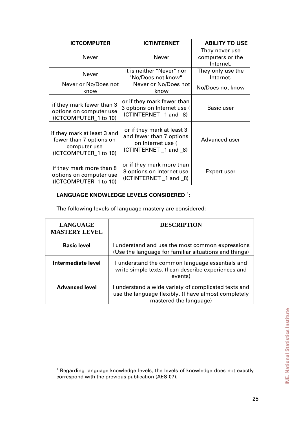| <b>ICTCOMPUTER</b>                                                                              | <b>ICTINTERNET</b>                                                                                    | <b>ABILITY TO USE</b>                           |
|-------------------------------------------------------------------------------------------------|-------------------------------------------------------------------------------------------------------|-------------------------------------------------|
| Never                                                                                           | Never                                                                                                 | They never use<br>computers or the<br>Internet. |
| <b>Never</b>                                                                                    | It is neither "Never" nor<br>"No/Does not know"                                                       | They only use the<br>Internet.                  |
| Never or No/Does not<br>know                                                                    | Never or No/Does not<br>know                                                                          | No/Does not know                                |
| if they mark fewer than 3<br>options on computer use<br>(ICTCOMPUTER_1 to 10)                   | or if they mark fewer than<br>3 options on Internet use (<br>ICTINTERNET_1 and _8)                    | Basic user                                      |
| if they mark at least 3 and<br>fewer than 7 options on<br>computer use<br>(ICTCOMPUTER_1 to 10) | or if they mark at least 3<br>and fewer than 7 options<br>on Internet use (<br>ICTINTERNET _1 and _8) | Advanced user                                   |
| if they mark more than 8<br>options on computer use<br>(ICTCOMPUTER 1 to 10)                    | or if they mark more than<br>8 options on Internet use<br>(ICTINTERNET _1 and _8)                     | Expert user                                     |

#### LANGUAGE KNOWLEDGE LEVELS CONSIDERED <sup>[1](#page-24-0)</sup>:

The following levels of language mastery are considered:

| <b>LANGUAGE</b><br><b>MASTERY LEVEL</b> | <b>DESCRIPTION</b>                                                                                                                     |
|-----------------------------------------|----------------------------------------------------------------------------------------------------------------------------------------|
| <b>Basic level</b>                      | I understand and use the most common expressions<br>(Use the language for familiar situations and things)                              |
| Intermediate level                      | I understand the common language essentials and<br>write simple texts. (I can describe experiences and<br>events)                      |
| <b>Advanced level</b>                   | I understand a wide variety of complicated texts and<br>use the language flexibly. (I have almost completely<br>mastered the language) |

<span id="page-24-0"></span> $\overline{1}$  $1$  Regarding language knowledge levels, the levels of knowledge does not exactly correspond with the previous publication (AES-07).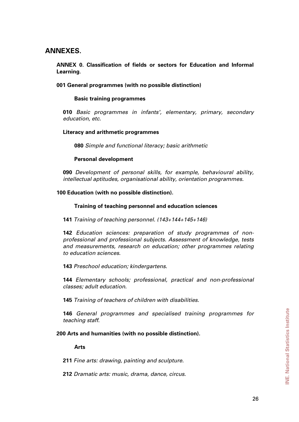# <span id="page-25-0"></span>**ANNEXES.**

### **ANNEX 0. Classification of fields or sectors for Education and Informal Learning**.

#### **001 General programmes (with no possible distinction)**

#### **Basic training programmes**

**010** *Basic programmes in infants', elementary, primary, secondary education, etc.* 

#### **Literacy and arithmetic programmes**

**080** *Simple and functional literacy; basic arithmetic* 

#### **Personal development**

**090** *Development of personal skills, for example, behavioural ability, intellectual aptitudes, organisational ability, orientation programmes.* 

#### **100 Education (with no possible distinction).**

#### **Training of teaching personnel and education sciences**

**141** *Training of teaching personnel. (143+144+145+146)* 

**142** *Education sciences: preparation of study programmes of nonprofessional and professional subjects. Assessment of knowledge, tests and measurements, research on education; other programmes relating to education sciences*.

**143** *Preschool education; kindergartens*.

**144** *Elementary schools; professional, practical and non-professional classes; adult education*.

**145** *Training of teachers of children with disabilities*.

**146** *General programmes and specialised training programmes for teaching staff*.

#### **200 Arts and humanities (with no possible distinction).**

#### **Arts**

**211** *Fine arts: drawing, painting and sculpture*.

**212** *Dramatic arts: music, drama, dance, circus*.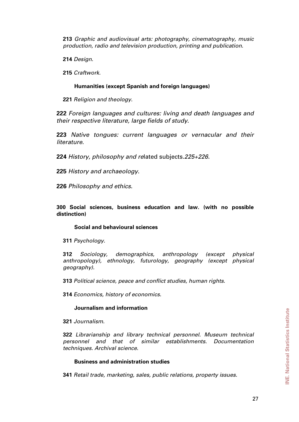**213** *Graphic and audiovisual arts: photography, cinematography, music production, radio and television production, printing and publication*.

**214** *Design*.

**215** *Craftwork*.

#### **Humanities (except Spanish and foreign languages)**

**221** *Religion and theology*.

**222** *Foreign languages and cultures: living and death languages and their respective literature, large fields of study*.

**223** *Native tongues: current languages or vernacular and their literature*.

**224** *History, philosophy and re*lated subjects*.225+226.* 

**225** *History and archaeology*.

**226** *Philosophy and ethics*.

**300 Social sciences, business education and law. (with no possible distinction)** 

#### **Social and behavioural sciences**

**311** *Psychology*.

**312** *Sociology, demographics, anthropology (except physical anthropology), ethnology, futurology, geography (except physical geography).* 

**313** *Political science, peace and conflict studies, human rights*.

**314** *Economics, history of economics*.

#### **Journalism and information**

**321** *Journalism*.

**322** *Librarianship and library technical personnel. Museum technical personnel and that of similar establishments. Documentation techniques. Archival science*.

#### **Business and administration studies**

**341** *Retail trade, marketing, sales, public relations, property issues.*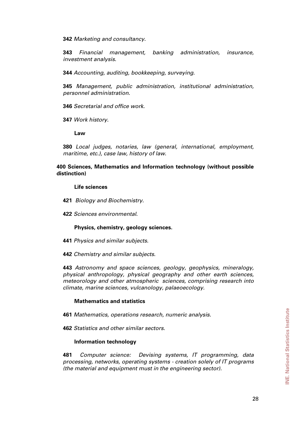**342** *Marketing and consultancy*.

**343** *Financial management, banking administration, insurance, investment analysis*.

**344** *Accounting, auditing, bookkeeping, surveying*.

**345** *Management, public administration, institutional administration, personnel administration*.

**346** *Secretarial and office work*.

**347** *Work history*.

**Law** 

**380** *Local judges, notaries, law (general, international, employment, maritime, etc.), case law, history of law*.

**400 Sciences, Mathematics and Information technology (without possible distinction)** 

#### **Life sciences**

- **421** *Biology and Biochemistry*.
- **422** *Sciences environmental*.

#### **Physics, chemistry, geology sciences.**

- **441** *Physics and similar subjects*.
- **442** *Chemistry and similar subjects*.

**443** *Astronomy and space sciences, geology, geophysics, mineralogy, physical anthropology, physical geography and other earth sciences, meteorology and other atmospheric sciences, comprising research into climate, marine sciences, vulcanology, palaeoecology*.

#### **Mathematics and statistics**

- **461** *Mathematics, operations research, numeric analysis*.
- **462** *Statistics and other similar sectors*.

#### **Information technology**

**481** *Computer science: Devising systems, IT programming, data processing, networks, operating systems - creation solely of IT programs (the material and equipment must in the engineering sector).*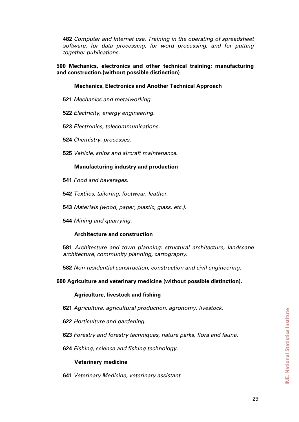**482** *Computer and Internet use. Training in the operating of spreadsheet software, for data processing, for word processing, and for putting together publications*.

**500 Mechanics, electronics and other technical training; manufacturing and construction.(without possible distinction)** 

#### **Mechanics, Electronics and Another Technical Approach**

- **521** *Mechanics and metalworking*.
- **522** *Electricity, energy engineering*.
- **523** *Electronics, telecommunications*.
- **524** *Chemistry, processes*.
- **525** *Vehicle, ships and aircraft maintenance*.

#### **Manufacturing industry and production**

- **541** *Food and beverages*.
- **542** *Textiles, tailoring, footwear, leather*.
- **543** *Materials (wood, paper, plastic, glass, etc.)*.
- **544** *Mining and quarrying*.

#### **Architecture and construction**

**581** *Architecture and town planning: structural architecture, landscape architecture, community planning, cartography*.

**582** *Non-residential construction, construction and civil engineering*.

**600 Agriculture and veterinary medicine (without possible distinction).** 

### **Agriculture, livestock and fishing**

- **621** *Agriculture, agricultural production, agronomy, livestock*.
- **622** *Horticulture and gardening*.
- **623** *Forestry and forestry techniques, nature parks, flora and fauna*.
- **624** *Fishing, science and fishing technology*.

### **Veterinary medicine**

**641** *Veterinary Medicine, veterinary assistant*.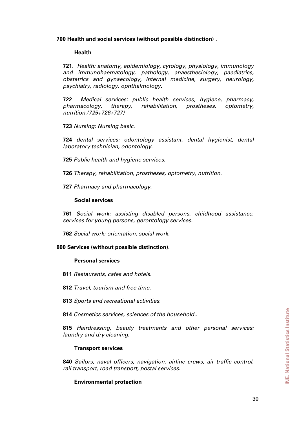**700 Health and social services (without possible distinction) .** 

#### **Health**

**721.** *Health: anatomy, epidemiology, cytology, physiology, immunology and immunohaematology, pathology, anaesthesiology, paediatrics, obstetrics and gynaecology, internal medicine, surgery, neurology, psychiatry, radiology, ophthalmology*.

**722** *Medical services: public health services, hygiene, pharmacy, pharmacology, therapy, rehabilitation, prostheses, optometry, nutrition.(725+726+727)*

**723** *Nursing: Nursing basic*.

**724** *dental services: odontology assistant, dental hygienist, dental laboratory technician, odontology*.

- **725** *Public health and hygiene services*.
- **726** *Therapy, rehabilitation, prostheses, optometry, nutrition*.
- **727** *Pharmacy and pharmacology*.

#### **Social services**

**761** *Social work: assisting disabled persons, childhood assistance, services for young persons, gerontology services*.

**762** *Social work: orientation, social work*.

#### **800 Services (without possible distinction).**

#### **Personal services**

- **811** *Restaurants, cafes and hotels*.
- **812** *Travel, tourism and free time*.
- **813** *Sports and recreational activities*.
- **814** *Cosmetics services, sciences of the household.*.

**815** *Hairdressing, beauty treatments and other personal services: laundry and dry cleaning*.

#### **Transport services**

**840** *Sailors, naval officers, navigation, airline crews, air traffic control, rail transport, road transport, postal services*.

#### **Environmental protection**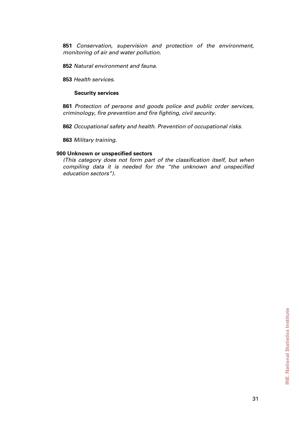**851** *Conservation, supervision and protection of the environment, monitoring of air and water pollution*.

**852** *Natural environment and fauna*.

**853** *Health services*.

#### **Security services**

**861** *Protection of persons and goods police and public order services, criminology, fire prevention and fire fighting, civil security*.

**862** *Occupational safety and health. Prevention of occupational risks*.

**863** *Military training*.

#### **900 Unknown or unspecified sectors**

*(This category does not form part of the classification itself, but when compiling data it is needed for the "the unknown and unspecified education sectors").*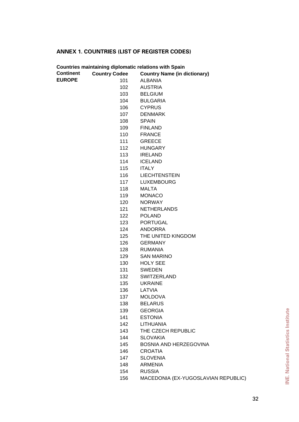# **ANNEX 1. COUNTRIES (LIST OF REGISTER CODES)**

|                  |                      | <b>Countries maintaining diplomatic relations with Spain</b> |
|------------------|----------------------|--------------------------------------------------------------|
| <b>Continent</b> | <b>Country Codee</b> | <b>Country Name (in dictionary)</b>                          |
| <b>EUROPE</b>    | 101                  | <b>ALBANIA</b>                                               |
|                  | 102                  | <b>AUSTRIA</b>                                               |
|                  | 103                  | <b>BELGIUM</b>                                               |
|                  | 104                  | <b>BULGARIA</b>                                              |
|                  | 106                  | <b>CYPRUS</b>                                                |
|                  | 107                  | <b>DENMARK</b>                                               |
|                  | 108                  | <b>SPAIN</b>                                                 |
|                  | 109                  | <b>FINLAND</b>                                               |
|                  | 110                  | <b>FRANCE</b>                                                |
|                  | 111                  | <b>GREECE</b>                                                |
|                  | 112                  | <b>HUNGARY</b>                                               |
|                  | 113                  | <b>IRELAND</b>                                               |
|                  | 114                  | <b>ICELAND</b>                                               |
|                  | 115                  | <b>ITALY</b>                                                 |
|                  | 116                  | <b>LIECHTENSTEIN</b>                                         |
|                  | 117                  | <b>LUXEMBOURG</b>                                            |
|                  | 118                  | <b>MALTA</b>                                                 |
|                  | 119                  | <b>MONACO</b>                                                |
|                  | 120                  | <b>NORWAY</b>                                                |
|                  | 121                  | <b>NETHERLANDS</b>                                           |
|                  | 122                  | <b>POLAND</b>                                                |
|                  | 123                  | <b>PORTUGAL</b>                                              |
|                  | 124                  | <b>ANDORRA</b>                                               |
|                  | 125                  | THE UNITED KINGDOM                                           |
|                  | 126                  | <b>GERMANY</b>                                               |
|                  | 128                  | <b>RUMANIA</b>                                               |
|                  | 129                  | <b>SAN MARINO</b>                                            |
|                  | 130                  | <b>HOLY SEE</b>                                              |
|                  | 131                  | <b>SWEDEN</b>                                                |
|                  | 132                  | <b>SWITZERLAND</b>                                           |
|                  | 135                  | <b>UKRAINE</b>                                               |
|                  | 136                  | LATVIA                                                       |
|                  | 137                  | <b>MOLDOVA</b>                                               |
|                  | 138                  | <b>BELARUS</b>                                               |
|                  | 139                  | <b>GEORGIA</b>                                               |
|                  | 141                  | <b>ESTONIA</b>                                               |
|                  | 142                  | <b>LITHUANIA</b>                                             |
|                  | 143                  | THE CZECH REPUBLIC                                           |
|                  | 144                  | <b>SLOVAKIA</b>                                              |
|                  | 145                  | BOSNIA AND HERZEGOVINA                                       |
|                  | 146                  | <b>CROATIA</b>                                               |
|                  | 147                  | <b>SLOVENIA</b>                                              |
|                  | 148                  | <b>ARMENIA</b>                                               |
|                  | 154                  | <b>RUSSIA</b>                                                |
|                  | 156                  | MACEDONIA (EX-YUGOSLAVIAN REPUBLIC)                          |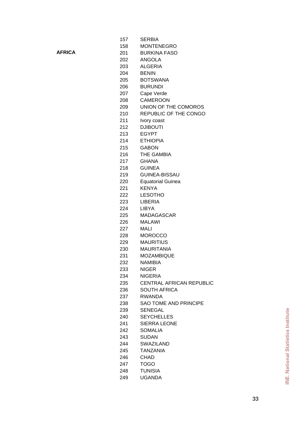**AFRICA**

| 157        | <b>SERBIA</b>                                     |
|------------|---------------------------------------------------|
| 158        | <b>MONTENEGRO</b>                                 |
| 201        | <b>BURKINA FASO</b>                               |
| 202        | ANGOLA                                            |
| 203        | <b>ALGERIA</b>                                    |
| 204        | <b>BENIN</b>                                      |
| 205        | <b>BOTSWANA</b>                                   |
| 206        | <b>BURUNDI</b>                                    |
| 207        | Cape Verde                                        |
| 208        | <b>CAMEROON</b>                                   |
| 209        | UNION OF THE COMOROS                              |
| 210        | REPUBLIC OF THE CONGO                             |
| 211        | Ivory coast                                       |
| 212        | <b>DJIBOUTI</b>                                   |
| 213        | <b>EGYPT</b>                                      |
| 214        | <b>ETHIOPIA</b>                                   |
| 215        | <b>GABON</b>                                      |
| 216        | THE GAMBIA                                        |
| 217        | <b>GHANA</b>                                      |
| 218        | <b>GUINEA</b>                                     |
| 219        | <b>GUINEA-BISSAU</b>                              |
| 220        | <b>Equatorial Guinea</b>                          |
| 221        | <b>KENYA</b>                                      |
| 222        | <b>LESOTHO</b>                                    |
| 223        | LIBERIA                                           |
| 224        | <b>LIBYA</b>                                      |
| 225        | <b>MADAGASCAR</b>                                 |
|            | <b>MALAWI</b>                                     |
| 226        | MALI                                              |
| 227        | <b>MOROCCO</b>                                    |
| 228        | <b>MAURITIUS</b>                                  |
| 229<br>230 | <b>MAURITANIA</b>                                 |
| 231        | <b>MOZAMBIQUE</b>                                 |
|            | NAMIBIA                                           |
| 232        | <b>NIGER</b>                                      |
| 233<br>234 |                                                   |
|            | <b>NIGERIA</b><br><b>CENTRAL AFRICAN REPUBLIC</b> |
| 235<br>236 |                                                   |
|            | <b>SOUTH AFRICA</b><br><b>RWANDA</b>              |
| 237        | <b>SAO TOME AND PRINCIPE</b>                      |
| 238        |                                                   |
| 239        | <b>SENEGAL</b>                                    |
| 240        | <b>SEYCHELLES</b>                                 |
| 241        | <b>SIERRA LEONE</b>                               |
| 242        | <b>SOMALIA</b>                                    |
| 243        | <b>SUDAN</b>                                      |
| 244        | <b>SWAZILAND</b>                                  |
| 245        | TANZANIA                                          |
| 246        | <b>CHAD</b>                                       |
| 247        | <b>TOGO</b>                                       |
| 248        | <b>TUNISIA</b>                                    |
| 249        | <b>UGANDA</b>                                     |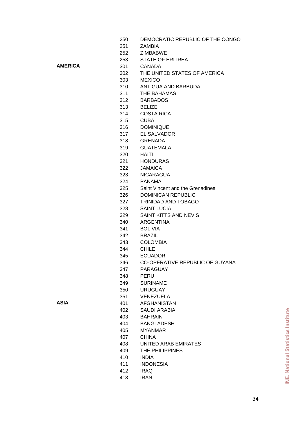| 250 | DEMOCRATIC REPUBLIC OF THE CONGO |
|-----|----------------------------------|
|-----|----------------------------------|

- ZAMBIA
- ZIMBABWE
- STATE OF ERITREA

**AMERICA**

**ASIA**

- THE UNITED STATES OF AMERICA
- MEXICO

CANADA

- ANTIGUA AND BARBUDA
- THE BAHAMAS
- BARBADOS
- BELIZE
- COSTA RICA
- CUBA
- DOMINIQUE
- EL SALVADOR
- GRENADA
- GUATEMALA
- HAITI
	- HONDURAS
- JAMAICA
- NICARAGUA
- PANAMA
- Saint Vincent and the Grenadines
- DOMINICAN REPUBLIC
- TRINIDAD AND TOBAGO
- SAINT LUCIA
- SAINT KITTS AND NEVIS
- ARGENTINA
- BOLIVIA
- BRAZIL
- COLOMBIA
- CHILE
- ECUADOR
- CO-OPERATIVE REPUBLIC OF GUYANA
- PARAGUAY
- PERU
- SURINAME
- URUGUAY
- VENEZUELA
- AFGHANISTAN
- SAUDI ARABIA
	- BAHRAIN
- BANGLADESH
- MYANMAR
- CHINA
- UNITED ARAB EMIRATES
- THE PHILIPPINES
- INDIA
- INDONESIA
- IRAQ
- IRAN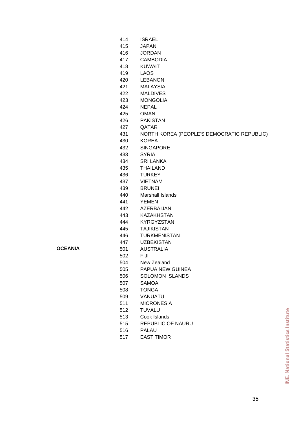| 414 | <b>ISRAEL</b>                              |
|-----|--------------------------------------------|
| 415 | <b>JAPAN</b>                               |
| 416 | <b>JORDAN</b>                              |
| 417 | <b>CAMBODIA</b>                            |
| 418 | <b>KUWAIT</b>                              |
| 419 | <b>LAOS</b>                                |
| 420 | <b>LEBANON</b>                             |
| 421 | <b>MALAYSIA</b>                            |
| 422 | <b>MALDIVES</b>                            |
| 423 | <b>MONGOLIA</b>                            |
| 424 | <b>NEPAL</b>                               |
| 425 | <b>OMAN</b>                                |
| 426 | <b>PAKISTAN</b>                            |
| 427 | QATAR                                      |
| 431 | NORTH KOREA (PEOPLE'S DEMOCRATIC REPUBLIC) |
| 430 | <b>KOREA</b>                               |
| 432 | <b>SINGAPORE</b>                           |
| 433 | <b>SYRIA</b>                               |
| 434 | <b>SRI LANKA</b>                           |
| 435 | <b>THAILAND</b>                            |
| 436 | <b>TURKEY</b>                              |
| 437 | <b>VIETNAM</b>                             |
| 439 | <b>BRUNEI</b>                              |
| 440 | Marshall Islands                           |
| 441 | <b>YEMEN</b>                               |
| 442 | AZERBAIJAN                                 |
| 443 | <b>KAZAKHSTAN</b>                          |
| 444 | <b>KYRGYZSTAN</b>                          |
| 445 | <b>TAJIKISTAN</b>                          |
| 446 | <b>TURKMENISTAN</b>                        |
| 447 | <b>UZBEKISTAN</b>                          |
| 501 | <b>AUSTRALIA</b>                           |
| 502 | <b>FIJI</b>                                |
| 504 | New Zealand                                |
| 505 | PAPUA NEW GUINEA                           |
| 506 | <b>SOLOMON ISLANDS</b>                     |
| 507 | <b>SAMOA</b>                               |
| 508 | <b>TONGA</b>                               |
| 509 | VANUATU                                    |
| 511 | <b>MICRONESIA</b>                          |
| 512 | <b>TUVALU</b>                              |

Cook Islands

EAST TIMOR

PALAU

REPUBLIC OF NAURU

**OCEANIA**

**INE. National Statistics Institute INE. National Statistics Institute**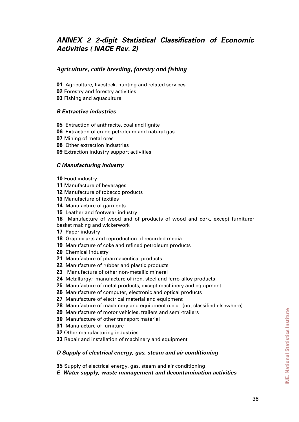# <span id="page-35-0"></span>*ANNEX 2 2-digit Statistical Classification of Economic Activities ( NACE Rev. 2)*

# *Agriculture, cattle breeding, forestry and fishing*

- Agriculture, livestock, hunting and related services
- Forestry and forestry activities
- Fishing and aquaculture

### *B Extractive industries*

- Extraction of anthracite, coal and lignite
- Extraction of crude petroleum and natural gas
- Mining of metal ores
- Other extraction industries
- Extraction industry support activities

### *C Manufacturing industry*

Food industry

- Manufacture of beverages
- Manufacture of tobacco products
- Manufacture of textiles
- Manufacture of garments
- Leather and footwear industry

Manufacture of wood and of products of wood and cork, except furniture; basket making and wickerwork

- Paper industry
- Graphic arts and reproduction of recorded media
- Manufacture of coke and refined petroleum products
- Chemical industry
- Manufacture of pharmaceutical products
- Manufacture of rubber and plastic products
- Manufacture of other non-metallic mineral
- Metallurgy; manufacture of iron, steel and ferro-alloy products
- Manufacture of metal products, except machinery and equipment
- Manufacture of computer, electronic and optical products
- Manufacture of electrical material and equipment
- Manufacture of machinery and equipment n.e.c. (not classified elsewhere)
- Manufacture of motor vehicles, trailers and semi-trailers
- Manufacture of other transport material
- Manufacture of furniture
- Other manufacturing industries
- Repair and installation of machinery and equipment

### *D Supply of electrical energy, gas, steam and air conditioning*

Supply of electrical energy, gas, steam and air conditioning

*E Water supply, waste management and decontamination activities*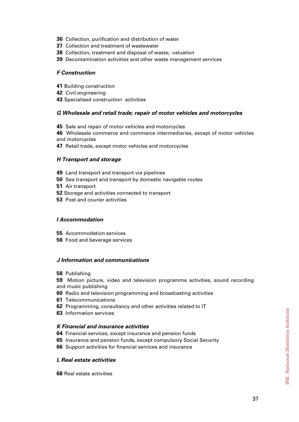- Collection, purification and distribution of water
- Collection and treatment of wastewater
- Collection, treatment and disposal of waste; valuation
- Decontamination activities and other waste management services

#### *F Construction*

- Building construction
- Civil engineering
- Specialised construction activities

#### *G Wholesale and retail trade; repair of motor vehicles and motorcycles*

- Sale and repair of motor vehicles and motorcycles
- Wholesale commerce and commerce intermediaries, except of motor vehicles and motorcycles
- Retail trade, except motor vehicles and motorcycles

#### *H Transport and storage*

- Land transport and transport via pipelines
- Sea transport and transport by domestic navigable routes
- Air transport
- Storage and activities connected to transport
- Post and courier activities

#### *I Accommodation*

- Accommodation services
- Food and beverage services

#### *J Information and communications*

Publishing

Motion picture, video and television programme activities, sound recording and music publishing

- Radio and television programming and broadcasting activities
- Telecommunications
- Programming, consultancy and other activities related to IT
- Information services

#### *K Financial and insurance activities*

- Financial services, except insurance and pension funds
- Insurance and pension funds, except compulsory Social Security
- Support activities for financial services and insurance

#### *L Real estate activities*

Real estate activities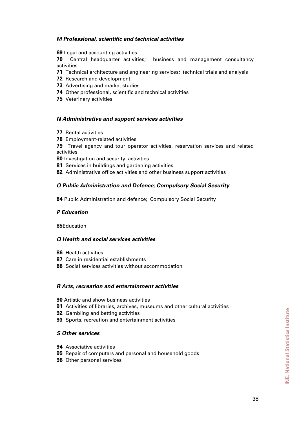#### *M Professional, scientific and technical activities*

Legal and accounting activities

Central headquarter activities; business and management consultancy activities

- Technical architecture and engineering services; technical trials and analysis
- Research and development
- Advertising and market studies
- Other professional, scientific and technical activities
- Veterinary activities

#### *N Administrative and support services activities*

- Rental activities
- Employment-related activities

Travel agency and tour operator activities, reservation services and related activities

Investigation and security activities

- Services in buildings and gardening activities
- Administrative office activities and other business support activities

#### *O Public Administration and Defence; Compulsory Social Security*

Public Administration and defence; Compulsory Social Security

#### *P Education*

Education

#### *Q Health and social services activities*

- Health activities
- Care in residential establishments
- Social services activities without accommodation

#### *R Arts, recreation and entertainment activities*

- Artistic and show business activities
- Activities of libraries, archives, museums and other cultural activities
- Gambling and betting activities
- Sports, recreation and entertainment activities

#### *S Other services*

- Associative activities
- Repair of computers and personal and household goods
- Other personal services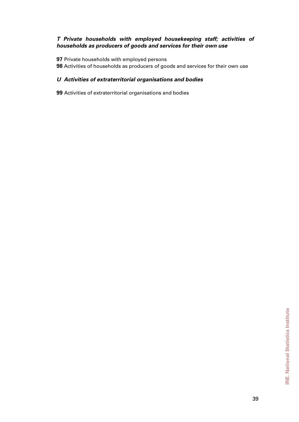### *T Private households with employed housekeeping staff; activities of households as producers of goods and services for their own use*

**97** Private households with employed persons

**98** Activities of households as producers of goods and services for their own use

### *U Activities of extraterritorial organisations and bodies*

**99** Activities of extraterritorial organisations and bodies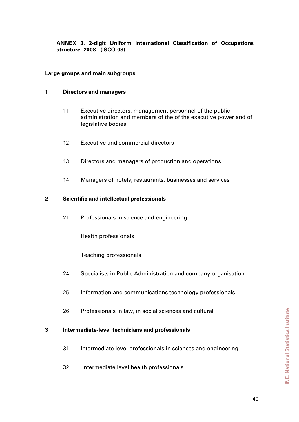<span id="page-39-0"></span>**ANNEX 3. 2-digit Uniform International Classification of Occupations structure, 2008 (ISCO-08)** 

#### **Large groups and main subgroups**

#### **1 Directors and managers**

- 11 Executive directors, management personnel of the public administration and members of the of the executive power and of legislative bodies
- 12 Executive and commercial directors
- 13 Directors and managers of production and operations
- 14 Managers of hotels, restaurants, businesses and services

#### **2 Scientific and intellectual professionals**

21 Professionals in science and engineering

Health professionals

Teaching professionals

- 24 Specialists in Public Administration and company organisation
- 25 Information and communications technology professionals
- 26 Professionals in law, in social sciences and cultural

#### **3 Intermediate-level technicians and professionals**

- 31 Intermediate level professionals in sciences and engineering
- 32 Intermediate level health professionals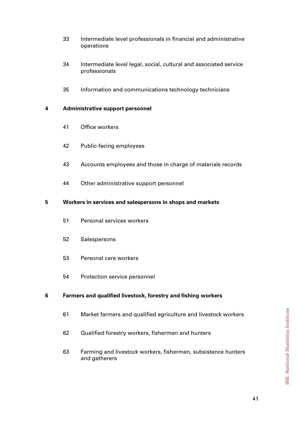- 33 Intermediate level professionals in financial and administrative operations
- 34 Intermediate level legal, social, cultural and associated service professionals
- 35 Information and communications technology technicians

#### **4 Administrative support personnel**

- 41 Office workers
- 42 Public-facing employees
- 43 Accounts employees and those in charge of materials records
- 44 Other administrative support personnel

#### **5 Workers in services and salespersons in shops and markets**

- 51 Personal services workers
- 52 Salespersons
- 53 Personal care workers
- 54 Protection service personnel

### **6 Farmers and qualified livestock, forestry and fishing workers**

- 61 Market farmers and qualified agriculture and livestock workers
- 62 Qualified forestry workers, fishermen and hunters
- 63 Farming and livestock workers, fishermen, subsistence hunters and gatherers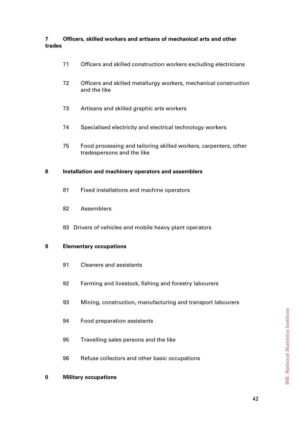### **7 Officers, skilled workers and artisans of mechanical arts and other trades**

- 71 Officers and skilled construction workers excluding electricians
- 72 Officers and skilled metallurgy workers, mechanical construction and the like
- 73 Artisans and skilled graphic arts workers
- 74 Specialised electricity and electrical technology workers
- 75 Food processing and tailoring skilled workers, carpenters, other tradespersons and the like

#### **8 Installation and machinery operators and assemblers**

- 81 Fixed installations and machine operators
- 82 Assemblers
- 83 Drivers of vehicles and mobile heavy plant operators

#### **9 Elementary occupations**

- 91 Cleaners and assistants
- 92 Farming and livestock, fishing and forestry labourers
- 93 Mining, construction, manufacturing and transport labourers
- 94 Food preparation assistants
- 95 Travelling sales persons and the like
- 96 Refuse collectors and other basic occupations

#### **0 Military occupations**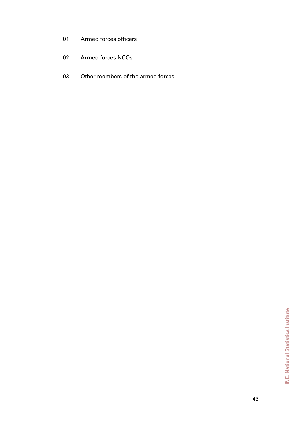- 01 Armed forces officers
- 02 Armed forces NCOs
- 03 Other members of the armed forces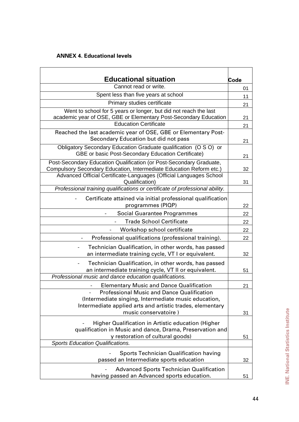# <span id="page-43-0"></span>**ANNEX 4. Educational levels**

|                                                                                                                                      | Code |
|--------------------------------------------------------------------------------------------------------------------------------------|------|
| <b>Educational situation</b><br>Cannot read or write.                                                                                |      |
| Spent less than five years at school                                                                                                 |      |
| Primary studies certificate                                                                                                          | 11   |
|                                                                                                                                      | 21   |
| Went to school for 5 years or longer, but did not reach the last<br>academic year of OSE, GBE or Elementary Post-Secondary Education |      |
| <b>Education Certificate</b>                                                                                                         | 21   |
| Reached the last academic year of OSE, GBE or Elementary Post-<br>Secondary Education but did not pass                               | 21   |
| Obligatory Secondary Education Graduate qualification (O S O) or<br>GBE or basic Post-Secondary Education Certificate)               | 21   |
| Post-Secondary Education Qualification (or Post-Secondary Graduate,                                                                  |      |
| Compulsory Secondary Education, Intermediate Education Reform etc.)                                                                  | 32   |
| Advanced Official Certificate-Languages (Official Languages School<br>Qualification)                                                 | 31   |
| Professional training qualifications or certificate of professional ability.                                                         |      |
| Certificate attained via initial professional qualification                                                                          |      |
| programmes (PIQP)                                                                                                                    | 22   |
| Social Guarantee Programmes                                                                                                          | 22   |
| <b>Trade School Certificate</b>                                                                                                      | 22   |
| Workshop school certificate                                                                                                          | 22   |
| Professional qualifications (professional training).                                                                                 | 22   |
| Technician Qualification, in other words, has passed<br>an intermediate training cycle, VT I or equivalent.                          | 32   |
| Technician Qualification, in other words, has passed<br>an intermediate training cycle, VT II or equivalent.                         | 51   |
| Professional music and dance education qualifications.                                                                               |      |
| <b>Elementary Music and Dance Qualification</b>                                                                                      | 21   |
| Professional Music and Dance Qualification<br>(Intermediate singing, Intermediate music education,                                   |      |
| Intermediate applied arts and artistic trades, elementary<br>music conservatoire)                                                    | 31   |
| Higher Qualification in Artistic education (Higher                                                                                   |      |
| qualification in Music and dance, Drama, Preservation and<br>y restoration of cultural goods)                                        | 51   |
| <b>Sports Education Qualifications.</b>                                                                                              |      |
| <b>Sports Technician Qualification having</b>                                                                                        |      |
| passed an Intermediate sports education                                                                                              | 32   |
| <b>Advanced Sports Technician Qualification</b><br>having passed an Advanced sports education.                                       | 51   |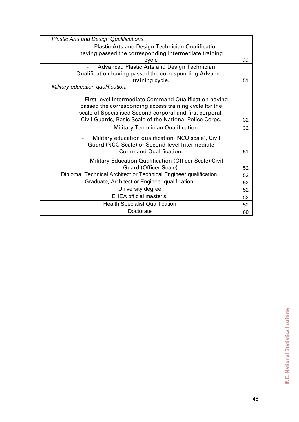| Plastic Arts and Design Qualifications.                                                                                                                                     |    |
|-----------------------------------------------------------------------------------------------------------------------------------------------------------------------------|----|
| <b>Plastic Arts and Design Technician Qualification</b>                                                                                                                     |    |
| having passed the corresponding Intermediate training                                                                                                                       |    |
| cycle                                                                                                                                                                       | 32 |
| Advanced Plastic Arts and Design Technician                                                                                                                                 |    |
| Qualification having passed the corresponding Advanced                                                                                                                      |    |
| training cycle.                                                                                                                                                             | 51 |
| Military education qualification.                                                                                                                                           |    |
| First-level Intermediate Command Qualification having<br>passed the corresponding access training cycle for the<br>scale of Specialised Second corporal and first corporal, |    |
| Civil Guards, Basic Scale of the National Police Corps.                                                                                                                     | 32 |
| Military Technician Qualification.                                                                                                                                          | 32 |
| Military education qualification (NCO scale), Civil<br>Guard (NCO Scale) or Second-level Intermediate<br><b>Command Qualification.</b>                                      | 51 |
| Military Education Qualification (Officer Scale); Civil                                                                                                                     |    |
| Guard (Officer Scale).                                                                                                                                                      | 52 |
| Diploma, Technical Architect or Technical Engineer qualification.                                                                                                           | 52 |
| Graduate, Architect or Engineer qualification.                                                                                                                              | 52 |
| University degree                                                                                                                                                           | 52 |
| <b>EHEA official master's.</b>                                                                                                                                              | 52 |
| <b>Health Specialist Qualification</b>                                                                                                                                      | 52 |
| Doctorate                                                                                                                                                                   | 60 |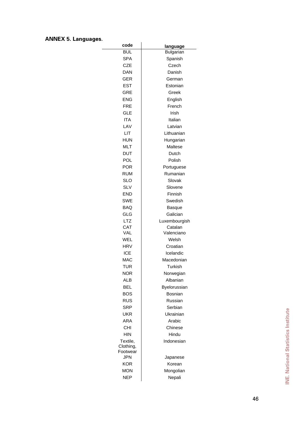# <span id="page-45-0"></span>**ANNEX 5. Languages**.

٠

| code                  | language              |
|-----------------------|-----------------------|
| <b>BUL</b>            | Bulgarian             |
| <b>SPA</b>            | Spanish               |
| <b>CZE</b>            | Czech                 |
| DAN                   | Danish                |
| <b>GER</b>            | German                |
| <b>EST</b>            | Estonian              |
| <b>GRE</b>            | Greek                 |
| <b>ENG</b>            | English               |
| FRE                   | French                |
| GLE                   | Irish                 |
| ITA                   | Italian               |
| LAV                   | Latvian               |
| LIT                   | Lithuanian            |
| <b>HUN</b>            | Hungarian             |
| <b>MLT</b>            | Maltese               |
| DUT                   | Dutch                 |
| POL                   | Polish                |
| <b>POR</b>            | Portuguese            |
| <b>RUM</b>            | Rumanian              |
| <b>SLO</b>            | Slovak                |
| <b>SLV</b>            | Slovene               |
| <b>END</b>            | Finnish               |
|                       |                       |
| <b>SWE</b>            | Swedish               |
| <b>BAQ</b>            | Basque                |
| GLG                   | Galician              |
| LTZ                   | Luxembourgish         |
| <b>CAT</b><br>VAL     | Catalan<br>Valenciano |
| WEL                   | Welsh                 |
| HRV                   | Croatian              |
| <b>ICE</b>            | Icelandic             |
| MAC                   | Macedonian            |
| TUR                   | Turkish               |
| NOR                   | Norwegian             |
| <b>ALB</b>            | Albanian              |
| <b>BEL</b>            |                       |
|                       | Byelorussian          |
| <b>BOS</b>            | Bosnian               |
| <b>RUS</b>            | Russian               |
| <b>SRP</b>            | Serbian               |
| <b>UKR</b>            | Ukrainian             |
| <b>ARA</b>            | Arabic                |
| <b>CHI</b>            | Chinese               |
| <b>HIN</b>            | Hindu                 |
| Textile,              | Indonesian            |
| Clothing,<br>Footwear |                       |
| <b>JPN</b>            | Japanese              |
| <b>KOR</b>            | Korean                |
| <b>MON</b>            | Mongolian             |
| <b>NEP</b>            | Nepali                |
|                       |                       |